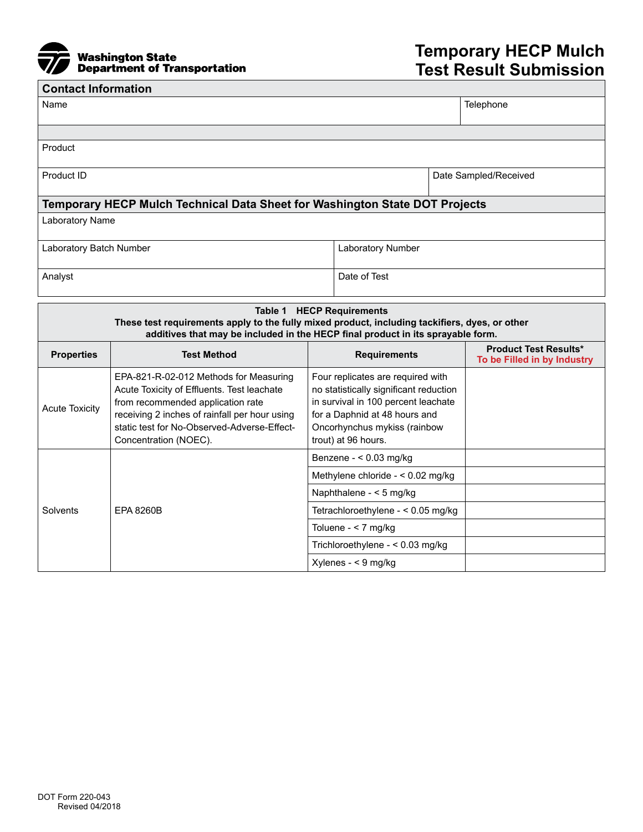

## **Temporary HECP Mulch Test Result Submission**

| <b>Contact Information</b>                                                                                                                                                        |                                                                                                                                                                                                                                                    |                                                                                                                                                                                                            |                                                             |  |  |  |
|-----------------------------------------------------------------------------------------------------------------------------------------------------------------------------------|----------------------------------------------------------------------------------------------------------------------------------------------------------------------------------------------------------------------------------------------------|------------------------------------------------------------------------------------------------------------------------------------------------------------------------------------------------------------|-------------------------------------------------------------|--|--|--|
| Name                                                                                                                                                                              |                                                                                                                                                                                                                                                    |                                                                                                                                                                                                            | Telephone                                                   |  |  |  |
|                                                                                                                                                                                   |                                                                                                                                                                                                                                                    |                                                                                                                                                                                                            |                                                             |  |  |  |
| Product                                                                                                                                                                           |                                                                                                                                                                                                                                                    |                                                                                                                                                                                                            |                                                             |  |  |  |
|                                                                                                                                                                                   |                                                                                                                                                                                                                                                    |                                                                                                                                                                                                            |                                                             |  |  |  |
| Product ID                                                                                                                                                                        |                                                                                                                                                                                                                                                    |                                                                                                                                                                                                            | Date Sampled/Received                                       |  |  |  |
| Temporary HECP Mulch Technical Data Sheet for Washington State DOT Projects                                                                                                       |                                                                                                                                                                                                                                                    |                                                                                                                                                                                                            |                                                             |  |  |  |
| Laboratory Name                                                                                                                                                                   |                                                                                                                                                                                                                                                    |                                                                                                                                                                                                            |                                                             |  |  |  |
|                                                                                                                                                                                   |                                                                                                                                                                                                                                                    |                                                                                                                                                                                                            |                                                             |  |  |  |
| Laboratory Batch Number                                                                                                                                                           |                                                                                                                                                                                                                                                    |                                                                                                                                                                                                            | Laboratory Number                                           |  |  |  |
| Analyst                                                                                                                                                                           |                                                                                                                                                                                                                                                    | Date of Test                                                                                                                                                                                               |                                                             |  |  |  |
|                                                                                                                                                                                   |                                                                                                                                                                                                                                                    |                                                                                                                                                                                                            |                                                             |  |  |  |
| <b>Table 1 HECP Requirements</b>                                                                                                                                                  |                                                                                                                                                                                                                                                    |                                                                                                                                                                                                            |                                                             |  |  |  |
| These test requirements apply to the fully mixed product, including tackifiers, dyes, or other<br>additives that may be included in the HECP final product in its sprayable form. |                                                                                                                                                                                                                                                    |                                                                                                                                                                                                            |                                                             |  |  |  |
| <b>Properties</b>                                                                                                                                                                 | <b>Test Method</b>                                                                                                                                                                                                                                 | <b>Requirements</b>                                                                                                                                                                                        | <b>Product Test Results*</b><br>To be Filled in by Industry |  |  |  |
| <b>Acute Toxicity</b>                                                                                                                                                             | EPA-821-R-02-012 Methods for Measuring<br>Acute Toxicity of Effluents. Test leachate<br>from recommended application rate<br>receiving 2 inches of rainfall per hour using<br>static test for No-Observed-Adverse-Effect-<br>Concentration (NOEC). | Four replicates are required with<br>no statistically significant reduction<br>in survival in 100 percent leachate<br>for a Daphnid at 48 hours and<br>Oncorhynchus mykiss (rainbow<br>trout) at 96 hours. |                                                             |  |  |  |
| Solvents                                                                                                                                                                          | EPA 8260B                                                                                                                                                                                                                                          | Benzene - < 0.03 mg/kg                                                                                                                                                                                     |                                                             |  |  |  |
|                                                                                                                                                                                   |                                                                                                                                                                                                                                                    | Methylene chloride - < 0.02 mg/kg                                                                                                                                                                          |                                                             |  |  |  |
|                                                                                                                                                                                   |                                                                                                                                                                                                                                                    | Naphthalene - < 5 mg/kg                                                                                                                                                                                    |                                                             |  |  |  |
|                                                                                                                                                                                   |                                                                                                                                                                                                                                                    | Tetrachloroethylene - < 0.05 mg/kg                                                                                                                                                                         |                                                             |  |  |  |
|                                                                                                                                                                                   |                                                                                                                                                                                                                                                    | Toluene - $<$ 7 mg/kg                                                                                                                                                                                      |                                                             |  |  |  |
|                                                                                                                                                                                   |                                                                                                                                                                                                                                                    |                                                                                                                                                                                                            | Trichloroethylene - < 0.03 mg/kg                            |  |  |  |

Xylenes - < 9 mg/kg